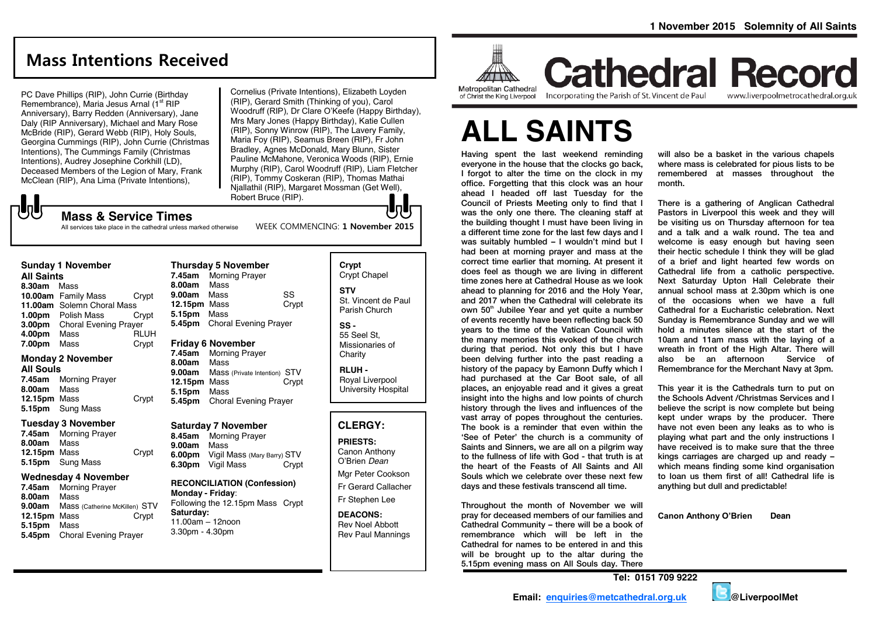www.liverpoolmetrocathedral.org.uk

# **Mass Intentions Received**

PC Dave Phillips (RIP), John Currie (Birthday Remembrance), Maria Jesus Arnal (1<sup>st</sup> RIP Anniversary), Barry Redden (Anniversary), Jane Daly (RIP Anniversary), Michael and Mary Rose McBride (RIP), Gerard Webb (RIP), Holy Souls, Georgina Cummings (RIP), John Currie (Christmas Intentions), The Cummings Family (Christmas Intentions), Audrey Josephine Corkhill (LD), Deceased Members of the Legion of Mary, Frank McClean (RIP), Ana Lima (Private Intentions),

Cornelius (Private Intentions), Elizabeth Loyden (RIP), Gerard Smith (Thinking of you), Carol Woodruff (RIP), Dr Clare O'Keefe (Happy Birthday), Mrs Mary Jones (Happy Birthday), Katie Cullen (RIP), Sonny Winrow (RIP), The Lavery Family, Maria Foy (RIP), Seamus Breen (RIP), Fr John Bradley, Agnes McDonald, Mary Blunn, Sister Pauline McMahone, Veronica Woods (RIP), Ernie Murphy (RIP), Carol Woodruff (RIP), Liam Fletcher (RIP), Tommy Coskeran (RIP), Thomas Mathai Njallathil (RIP), Margaret Mossman (Get Well), Robert Bruce (RIP).

WEEK COMMENCING: **1 November 2015**

# **Mass & Service Times**

All services take place in the cathedral unless marked otherwise

# **Sunday 1 November**

#### **All Saints**

 $\sqrt{5}$ 

**8.30am** Mass **10.00am** Family Mass Crypt **11.00am** Solemn Choral Mass **1.00pm** Polish Mass Crypt **3.00pm** Choral Evening Prayer<br>**4.00pm** Mass RLUH **4.00pm** Mass **RLUH**<br>**7.00pm** Mass **Crypt 7.00pm** Mass

#### **Monday 2 November**

**All Souls 7.45am** Morning Prayer **8.00am** Mass **12.15pm** Mass Crypt **5.15pm** Sung Mass

#### **Tuesday 3 November**

**7.45am** Morning Prayer **8.00am** Mass **12.15pm** Mass Crypt **5.15pm** Sung Mass

#### **Wednesday 4 November**

**7.45am** Morning Prayer **8.00am** Mass **Mass (Catherine McKillen) STV<br>Mass Crypt 12.15pm Mass 5.15pm** Mass **5.45pm** Choral Evening Prayer

**Thursday 5 November 7.45am** Morning Prayer **8.00am** Mass **9.00am** Mass SS **12.15pm** Mass Crypt **5.15pm** Mass **5.45pm** Choral Evening Prayer **Friday 6 November 7.45am** Morning Prayer

**8.00am** Mass **9.00am** Mass (Private Intention) STV **12.15pm** Mass Crypt **5.15pm** Mass **5.45pm** Choral Evening Prayer

#### **Saturday 7 November**

**8.45am** Morning Prayer **9.00am** Mass **6.00pm** Vigil Mass (Mary Barry) STV **6.30pm** Vigil Mass Crypt

#### **RECONCILIATION (Confession) Monday - Friday**: Following the 12.15pm Mass Crypt

**Saturday:** 11.00am – 12noon 3.30pm - 4.30pm

#### **Crypt**  Crypt Chapel **STV** St. Vincent de Paul Parish Church **SS -**

55 Seel St, Missionaries of **Charity** 

**RLUH -** Royal Liverpool University Hospital

#### **CLERGY:**

#### **PRIESTS:**

Canon Anthony O'Brien *Dean* Mgr Peter Cookson Fr Gerard Callacher Fr Stephen Lee

**DEACONS:** Rev Noel Abbott Rev Paul Mannings



**Cathedral Record** of Christ the King Liverpool

Incorporating the Parish of St. Vincent de Paul

# **ALL SAINTS**

Having spent the last weekend reminding everyone in the house that the clocks go back, I forgot to alter the time on the clock in my office. Forgetting that this clock was an hour ahead I headed off last Tuesday for the Council of Priests Meeting only to find that I was the only one there. The cleaning staff at the building thought I must have been living in a different time zone for the last few days and I was suitably humbled – I wouldn't mind but I had been at morning prayer and mass at the correct time earlier that morning. At present it does feel as though we are living in different time zones here at Cathedral House as we look ahead to planning for 2016 and the Holy Year, and 2017 when the Cathedral will celebrate its own 50<sup>th</sup> Jubilee Year and yet quite a number of events recently have been reflecting back 50 years to the time of the Vatican Council with the many memories this evoked of the church during that period. Not only this but I have been delving further into the past reading a history of the papacy by Eamonn Duffy which I had purchased at the Car Boot sale, of all places, an enjoyable read and it gives a great insight into the highs and low points of church history through the lives and influences of the vast array of popes throughout the centuries. The book is a reminder that even within the 'See of Peter' the church is a community of Saints and Sinners, we are all on a pilgrim way to the fullness of life with God - that truth is at the heart of the Feasts of All Saints and All Souls which we celebrate over these next few days and these festivals transcend all time.

Throughout the month of November we will pray for deceased members of our families and Cathedral Community – there will be a book of remembrance which will be left in the Cathedral for names to be entered in and this will be brought up to the altar during the 5.15pm evening mass on All Souls day. There

will also be a basket in the various chapels where mass is celebrated for pious lists to be remembered at masses throughout the month.

There is a gathering of Anglican Cathedral Pastors in Liverpool this week and they will be visiting us on Thursday afternoon for tea and a talk and a walk round. The tea and welcome is easy enough but having seen their hectic schedule I think they will be glad of a brief and light hearted few words on Cathedral life from a catholic perspective. Next Saturday Upton Hall Celebrate their annual school mass at 2.30pm which is one of the occasions when we have a full Cathedral for a Eucharistic celebration. Next Sunday is Remembrance Sunday and we will hold a minutes silence at the start of the 10am and 11am mass with the laying of a wreath in front of the High Altar. There will also be an afternoon Service of Remembrance for the Merchant Navy at 3pm.

This year it is the Cathedrals turn to put on the Schools Advent /Christmas Services and I believe the script is now complete but being kept under wraps by the producer. There have not even been any leaks as to who is playing what part and the only instructions I have received is to make sure that the three kings carriages are charged up and ready – which means finding some kind organisation to loan us them first of all! Cathedral life is anything but dull and predictable!

**Canon Anthony O'Brien Dean**

**Tel: 0151 709 9222**